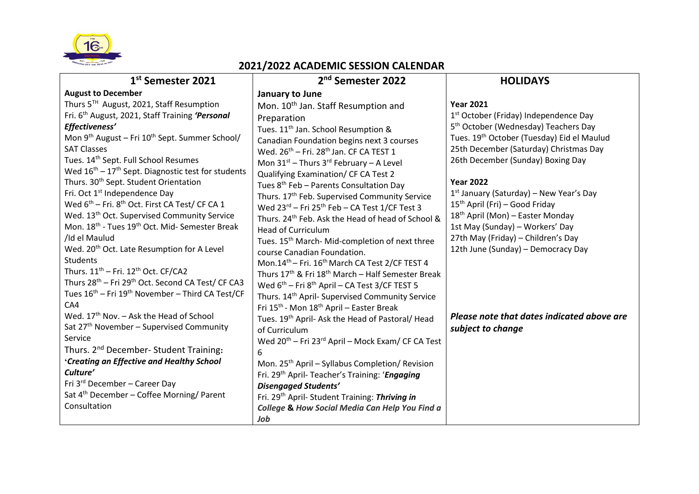

## **2021/2022 ACADEMIC SESSION CALENDAR**

| 1st Semester 2021                                                                                                                                                                                                                                                                                                                                                                                                                                                                                                                                                                                                                                                                                                                                                                                                                                                                                                                                                                                                                                                                                                      | 2 <sup>nd</sup> Semester 2022                                                                                                                                                                                                                                                                                                                                                                                                                                                                                                                                                                                                                                                                                                                                                                                                                                                                                                                                                                                                                                                                                 | <b>HOLIDAYS</b>                                                                                                                                                                                                                                                                                                                                                                                                                                                                                                                                                                               |
|------------------------------------------------------------------------------------------------------------------------------------------------------------------------------------------------------------------------------------------------------------------------------------------------------------------------------------------------------------------------------------------------------------------------------------------------------------------------------------------------------------------------------------------------------------------------------------------------------------------------------------------------------------------------------------------------------------------------------------------------------------------------------------------------------------------------------------------------------------------------------------------------------------------------------------------------------------------------------------------------------------------------------------------------------------------------------------------------------------------------|---------------------------------------------------------------------------------------------------------------------------------------------------------------------------------------------------------------------------------------------------------------------------------------------------------------------------------------------------------------------------------------------------------------------------------------------------------------------------------------------------------------------------------------------------------------------------------------------------------------------------------------------------------------------------------------------------------------------------------------------------------------------------------------------------------------------------------------------------------------------------------------------------------------------------------------------------------------------------------------------------------------------------------------------------------------------------------------------------------------|-----------------------------------------------------------------------------------------------------------------------------------------------------------------------------------------------------------------------------------------------------------------------------------------------------------------------------------------------------------------------------------------------------------------------------------------------------------------------------------------------------------------------------------------------------------------------------------------------|
| <b>August to December</b><br>Thurs 5TH August, 2021, Staff Resumption<br>Fri. 6 <sup>th</sup> August, 2021, Staff Training 'Personal<br>Effectiveness'<br>Mon 9 <sup>th</sup> August - Fri 10 <sup>th</sup> Sept. Summer School/<br><b>SAT Classes</b><br>Tues. 14 <sup>th</sup> Sept. Full School Resumes<br>Wed $16^{th}$ – 17 <sup>th</sup> Sept. Diagnostic test for students<br>Thurs. 30 <sup>th</sup> Sept. Student Orientation<br>Fri. Oct 1 <sup>st</sup> Independence Day<br>Wed 6 <sup>th</sup> – Fri. 8 <sup>th</sup> Oct. First CA Test/ CF CA 1<br>Wed. 13 <sup>th</sup> Oct. Supervised Community Service<br>Mon. 18 <sup>th</sup> - Tues 19 <sup>th</sup> Oct. Mid- Semester Break<br>/Id el Maulud<br>Wed. 20 <sup>th</sup> Oct. Late Resumption for A Level<br><b>Students</b><br>Thurs. $11^{th}$ – Fri. $12^{th}$ Oct. CF/CA2<br>Thurs 28 <sup>th</sup> - Fri 29 <sup>th</sup> Oct. Second CA Test/ CF CA3<br>Tues 16 <sup>th</sup> – Fri 19 <sup>th</sup> November – Third CA Test/CF<br>CA4<br>Wed. $17th$ Nov. – Ask the Head of School<br>Sat 27 <sup>th</sup> November - Supervised Community | January to June<br>Mon. 10 <sup>th</sup> Jan. Staff Resumption and<br>Preparation<br>Tues. 11 <sup>th</sup> Jan. School Resumption &<br>Canadian Foundation begins next 3 courses<br>Wed. 26 <sup>th</sup> - Fri. 28 <sup>th</sup> Jan. CF CA TEST 1<br>Mon $31^{st}$ – Thurs 3 <sup>rd</sup> February – A Level<br>Qualifying Examination/ CF CA Test 2<br>Tues 8 <sup>th</sup> Feb - Parents Consultation Day<br>Thurs. 17th Feb. Supervised Community Service<br>Wed 23rd - Fri 25th Feb - CA Test 1/CF Test 3<br>Thurs. 24 <sup>th</sup> Feb. Ask the Head of head of School &<br><b>Head of Curriculum</b><br>Tues. 15 <sup>th</sup> March-Mid-completion of next three<br>course Canadian Foundation.<br>Mon.14 <sup>th</sup> - Fri. 16 <sup>th</sup> March CA Test 2/CF TEST 4<br>Thurs 17th & Fri 18th March - Half Semester Break<br>Wed $6^{th}$ – Fri $8^{th}$ April – CA Test 3/CF TEST 5<br>Thurs. 14 <sup>th</sup> April- Supervised Community Service<br>Fri 15 <sup>th</sup> - Mon 18 <sup>th</sup> April - Easter Break<br>Tues. 19th April- Ask the Head of Pastoral/ Head<br>of Curriculum | <b>Year 2021</b><br>1 <sup>st</sup> October (Friday) Independence Day<br>5 <sup>th</sup> October (Wednesday) Teachers Day<br>Tues. 19th October (Tuesday) Eid el Maulud<br>25th December (Saturday) Christmas Day<br>26th December (Sunday) Boxing Day<br><b>Year 2022</b><br>$1st$ January (Saturday) – New Year's Day<br>$15th$ April (Fri) – Good Friday<br>18 <sup>th</sup> April (Mon) – Easter Monday<br>1st May (Sunday) - Workers' Day<br>27th May (Friday) - Children's Day<br>12th June (Sunday) - Democracy Day<br>Please note that dates indicated above are<br>subject to change |
| Service                                                                                                                                                                                                                                                                                                                                                                                                                                                                                                                                                                                                                                                                                                                                                                                                                                                                                                                                                                                                                                                                                                                | Wed 20 <sup>th</sup> – Fri 23 <sup>rd</sup> April – Mock Exam/ CF CA Test                                                                                                                                                                                                                                                                                                                                                                                                                                                                                                                                                                                                                                                                                                                                                                                                                                                                                                                                                                                                                                     |                                                                                                                                                                                                                                                                                                                                                                                                                                                                                                                                                                                               |
| Thurs. 2 <sup>nd</sup> December- Student Training:<br>'Creating an Effective and Healthy School<br>Culture'<br>Fri 3 <sup>rd</sup> December - Career Day<br>Sat 4 <sup>th</sup> December - Coffee Morning/ Parent<br>Consultation                                                                                                                                                                                                                                                                                                                                                                                                                                                                                                                                                                                                                                                                                                                                                                                                                                                                                      | 6<br>Mon. 25 <sup>th</sup> April – Syllabus Completion/ Revision<br>Fri. 29 <sup>th</sup> April- Teacher's Training: 'Engaging<br><b>Disengaged Students'</b><br>Fri. 29th April- Student Training: Thriving in<br>College & How Social Media Can Help You Find a<br>Job                                                                                                                                                                                                                                                                                                                                                                                                                                                                                                                                                                                                                                                                                                                                                                                                                                      |                                                                                                                                                                                                                                                                                                                                                                                                                                                                                                                                                                                               |